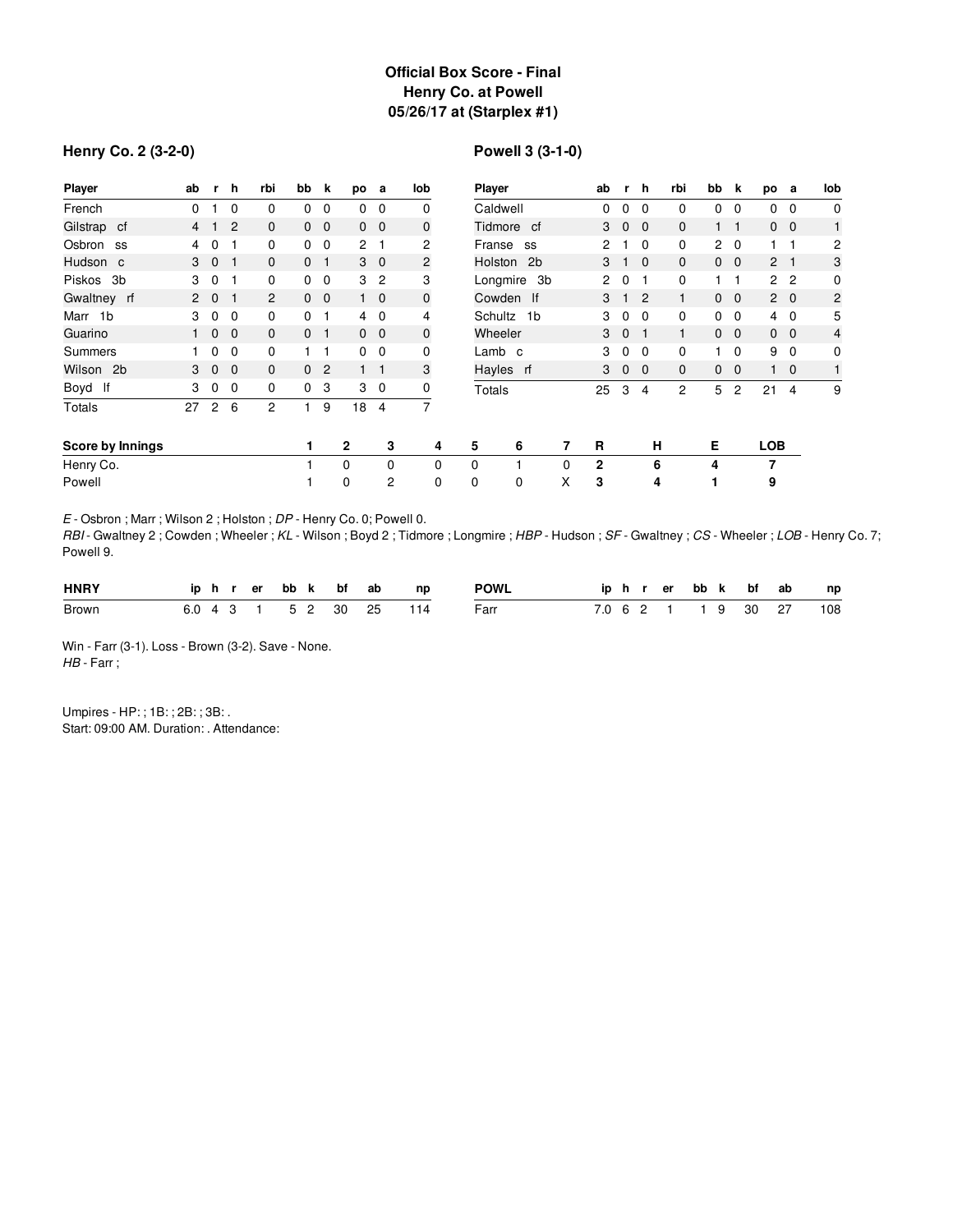# **Official Box Score - Final Henry Co. at Powell 05/26/17 at (Starplex #1)**

### **Henry Co. 2 (3-2-0)**

# **Powell 3 (3-1-0)**

| Player           | ab             | r.             | h            | rbi            | bb             | k              | po             | a              | lob            | <b>Player</b> |   | ab                   | r.           | h              | rbi          | bb             | k              | po             | а              | lob            |
|------------------|----------------|----------------|--------------|----------------|----------------|----------------|----------------|----------------|----------------|---------------|---|----------------------|--------------|----------------|--------------|----------------|----------------|----------------|----------------|----------------|
| French           | 0              |                | 0            | 0              | 0              | 0              | 0              | $\mathbf{0}$   | 0              | Caldwell      |   | 0                    | 0            | $\Omega$       | 0            | 0              | 0              | 0              | 0              | $\mathbf 0$    |
| Gilstrap cf      | $\overline{4}$ |                | 2            | 0              | $\mathbf{0}$   | $\mathbf{0}$   |                | $0\quad 0$     | 0              | Tidmore cf    |   | 3                    | $\mathbf{0}$ | $\Omega$       | $\mathbf{0}$ |                | $\mathbf 1$    | $\mathbf{0}$   | $\overline{0}$ | $\mathbf{1}$   |
| Osbron<br>SS     | 4              | 0              |              | 0              | $\mathbf 0$    | $\mathbf 0$    | $\overline{c}$ |                | $\overline{c}$ | Franse<br>SS  |   | 2                    |              | $\Omega$       | 0            | $\overline{2}$ | $\mathbf 0$    |                |                | 2              |
| Hudson c         | 3              | $\mathbf 0$    |              | $\mathbf{0}$   | $\Omega$       |                |                | $3 \quad 0$    | 2              | Holston 2b    |   | 3                    |              | $\Omega$       | $\mathbf{0}$ | $\mathbf{0}$   | $\mathbf{0}$   | $\overline{2}$ | - 1            | 3              |
| Piskos<br>3b     | 3              | 0              | 1            | 0              | $\mathbf{0}$   | $\mathbf 0$    | 3              | $\overline{2}$ | 3              | Longmire 3b   |   | $\mathbf{2}^{\circ}$ | 0            |                | 0            |                | 1              |                | 2 <sub>2</sub> | 0              |
| Gwaltney rf      | $\mathbf{2}$   | $\overline{0}$ | $\mathbf 1$  | $\overline{2}$ | $\overline{0}$ | $\overline{0}$ |                | $1\quad 0$     | $\mathbf 0$    | Cowden If     |   | 3                    |              | $\overline{2}$ | 1            | $\mathbf{0}$   | $\mathbf{0}$   |                | $2\quad 0$     | $\overline{c}$ |
| Marr 1b          | 3              | 0              | 0            | 0              | 0              |                | 4              | $\overline{0}$ | 4              | Schultz 1b    |   | 3                    | 0            | $\Omega$       | 0            | 0              | $\mathbf 0$    | 4              | 0              | 5              |
| Guarino          |                | $\mathbf{0}$   | $\mathbf{0}$ | $\mathbf{0}$   | 0              |                |                | $0\quad 0$     | $\mathbf 0$    | Wheeler       |   | 3                    | $\mathbf{0}$ |                | 1            | $\mathbf{0}$   | $\overline{0}$ | $\mathbf{0}$   | $\overline{0}$ | 4              |
| Summers          |                | 0              | 0            | 0              |                |                | $\mathbf{0}$   | 0              | 0              | Lamb c        |   | 3                    | 0            | $\Omega$       | 0            |                | 0              | 9              | $\Omega$       | 0              |
| Wilson 2b        | 3              | $\mathbf 0$    | $\mathbf{0}$ | $\mathbf{0}$   | $\mathbf{0}$   | $\overline{c}$ | $1 \quad 1$    |                | 3              | Hayles rf     |   | 3                    | 0            | $\mathbf 0$    | $\mathbf{0}$ | $\mathbf{0}$   | $\mathbf{0}$   |                | $\mathbf 0$    | $\mathbf{1}$   |
| Boyd If          | 3              | 0              | 0            | 0              | $\mathbf 0$    | 3              | 3              | $\overline{0}$ | 0              | Totals        |   | 25                   | 3            | 4              | 2            | 5              | $\overline{c}$ | 21             | 4              | 9              |
| <b>Totals</b>    | 27             | 2              | 6            | $\overline{c}$ |                | 9              | 18             | 4              | 7              |               |   |                      |              |                |              |                |                |                |                |                |
| Score by Innings |                |                |              |                | 1              |                | $\mathbf{2}$   | 3              | 4              | 5<br>6        | 7 | R                    |              | н              |              | Е              |                | <b>LOB</b>     |                |                |
| Henry Co.        |                |                |              |                |                |                | $\Omega$       | 0              | 0              | 0             | 0 | $\mathbf 2$          |              | 6              |              | 4              |                | 7              |                |                |
| Powell           |                |                |              |                |                |                | 0              | $\overline{c}$ | 0              | 0<br>0        | X | 3                    |              | 4              |              | 1              |                | 9              |                |                |

*E* - Osbron ; Marr ; Wilson 2 ; Holston ; *DP* - Henry Co. 0; Powell 0.

*RBI* - Gwaltney 2 ; Cowden ; Wheeler ; *KL* - Wilson ; Boyd 2 ; Tidmore ; Longmire ; *HBP* - Hudson ; *SF* - Gwaltney ; *CS* - Wheeler ; *LOB* - Henry Co. 7; Powell 9.

| <b>HNRY</b> |  |  |  | iphrerbbk bfab | np                      | POWL |  |  |  |  | iphrerbbk bfab np       |
|-------------|--|--|--|----------------|-------------------------|------|--|--|--|--|-------------------------|
| Brown       |  |  |  |                | 6.0 4 3 1 5 2 30 25 114 | Farr |  |  |  |  | 7.0 6 2 1 1 9 30 27 108 |

Win - Farr (3-1). Loss - Brown (3-2). Save - None. *HB* - Farr ;

Umpires - HP: ; 1B: ; 2B: ; 3B: . Start: 09:00 AM. Duration: . Attendance: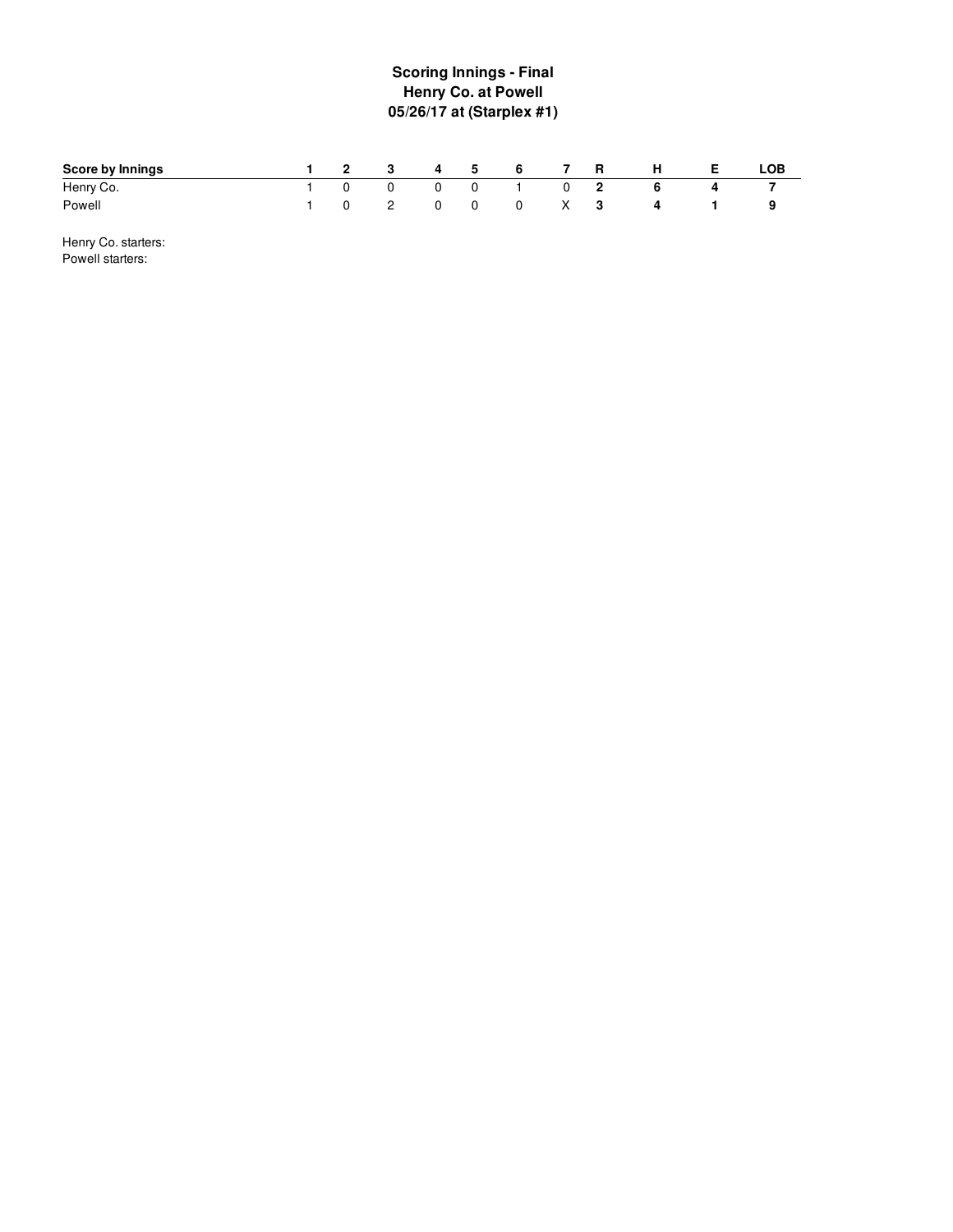# **S c o rin g In nin g s - Fin al Henry Co. at Powell 05/26/17 at (Starplex #1 )**

| <b>Score by Innings</b> | $\overline{\mathbf{2}}$ | $\overline{\mathbf{3}}$ | $\sim$ 4 | 5            | 6            |   | R | н | LOB |
|-------------------------|-------------------------|-------------------------|----------|--------------|--------------|---|---|---|-----|
| Henry Co.               |                         | $\overline{0}$          |          | $\mathbf{0}$ |              | 0 |   |   |     |
| Powell                  |                         | 2                       | $\Omega$ | 0            | $0 \times 3$ |   |   | 4 | У   |

Henry Co. starters: Powell starters: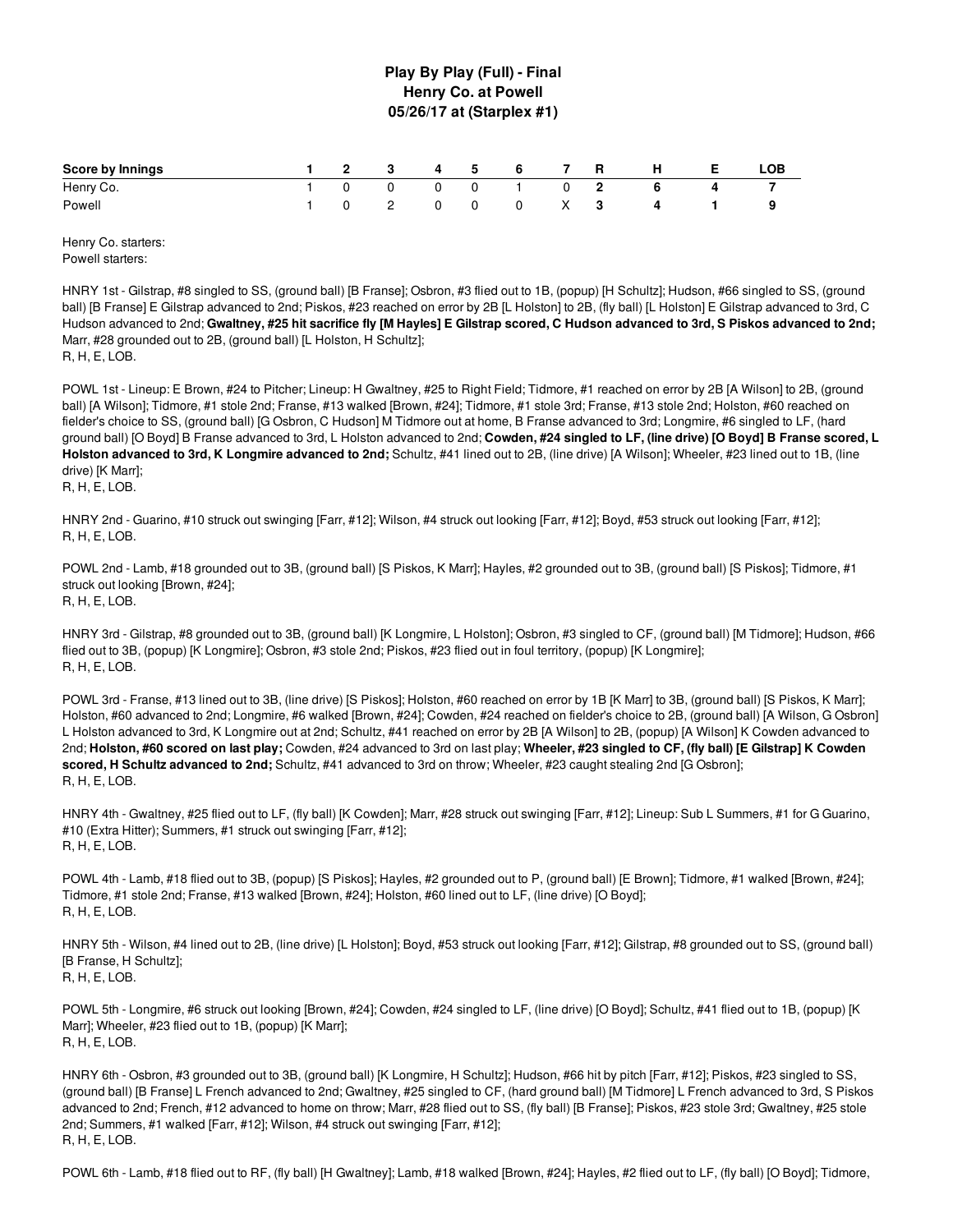### **Play By Play (Full) - Final Henry Co. at Powell 05/26/17 at (Starplex #1)**

| Score by Innings |              |  |          | 1 2 3 4 5 6 7 R |              | н н            | E | LOB |
|------------------|--------------|--|----------|-----------------|--------------|----------------|---|-----|
| Henry Co.        | $\sqrt{1}$ 0 |  |          | 0 0 0 1 0 2     |              | - 6            |   |     |
| Powell           |              |  | $\Omega$ |                 | $0 \times 3$ | $\overline{4}$ |   |     |

Henry Co. starters: Powell starters:

HNRY 1st - Gilstrap, #8 singled to SS, (ground ball) [B Franse]; Osbron, #3 flied out to 1B, (popup) [H Schultz]; Hudson, #66 singled to SS, (ground ball) [B Franse] E Gilstrap advanced to 2nd; Piskos, #23 reached on error by 2B [L Holston] to 2B, (fly ball) [L Holston] E Gilstrap advanced to 3rd, C Hudson advanced to 2nd; Gwaltney, #25 hit sacrifice fly [M Hayles] E Gilstrap scored, C Hudson advanced to 3rd, S Piskos advanced to 2nd; Marr, #28 grounded out to 2B, (ground ball) [L Holston, H Schultz]; R, H, E, LOB.

POWL 1st - Lineup: E Brown, #24 to Pitcher; Lineup: H Gwaltney, #25 to Right Field; Tidmore, #1 reached on error by 2B [A Wilson] to 2B, (ground ball) [A Wilson]; Tidmore, #1 stole 2nd; Franse, #13 walked [Brown, #24]; Tidmore, #1 stole 3rd; Franse, #13 stole 2nd; Holston, #60 reached on fielder's choice to SS, (ground ball) [G Osbron, C Hudson] M Tidmore out at home, B Franse advanced to 3rd; Longmire, #6 singled to LF, (hard ground ball) [O Boyd] B Franse advanced to 3rd, L Holston advanced to 2nd; Cowden, #24 singled to LF, (line drive) [O Boyd] B Franse scored, L **Holston advanced to 3rd, K Longmire advanced to 2nd;** Schultz, #41 lined out to 2B, (line drive) [A Wilson]; Wheeler, #23 lined out to 1B, (line drive) [K Marr]; R, H, E, LOB.

HNRY 2nd - Guarino, #10 struck out swinging [Farr, #12]; Wilson, #4 struck out looking [Farr, #12]; Boyd, #53 struck out looking [Farr, #12]; R, H, E, LOB.

POWL 2nd - Lamb, #18 grounded out to 3B, (ground ball) [S Piskos, K Marr]; Hayles, #2 grounded out to 3B, (ground ball) [S Piskos]; Tidmore, #1 struck out looking [Brown, #24]; R, H, E, LOB.

HNRY 3rd - Gilstrap, #8 grounded out to 3B, (ground ball) [K Longmire, L Holston]; Osbron, #3 singled to CF, (ground ball) [M Tidmore]; Hudson, #66 flied out to 3B, (popup) [K Longmire]; Osbron, #3 stole 2nd; Piskos, #23 flied out in foul territory, (popup) [K Longmire]; R, H, E, LOB.

POWL 3rd - Franse, #13 lined out to 3B, (line drive) [S Piskos]; Holston, #60 reached on error by 1B [K Marr] to 3B, (ground ball) [S Piskos, K Marr]; Holston, #60 advanced to 2nd; Longmire, #6 walked [Brown, #24]; Cowden, #24 reached on fielder's choice to 2B, (ground ball) [A Wilson, G Osbron] L Holston advanced to 3rd, K Longmire out at 2nd; Schultz, #41 reached on error by 2B [A Wilson] to 2B, (popup) [A Wilson] K Cowden advanced to 2nd; Holston, #60 scored on last play; Cowden, #24 advanced to 3rd on last play; Wheeler, #23 singled to CF, (fly ball) [E Gilstrap] K Cowden **scored, H Schultz advanced to 2nd;** Schultz, #41 advanced to 3rd on throw; Wheeler, #23 caught stealing 2nd [G Osbron]; R, H, E, LOB.

HNRY 4th - Gwaltney, #25 flied out to LF, (fly ball) [K Cowden]; Marr, #28 struck out swinging [Farr, #12]; Lineup: Sub L Summers, #1 for G Guarino, #10 (Extra Hitter); Summers, #1 struck out swinging [Farr, #12]; R, H, E, LOB.

POWL 4th - Lamb, #18 flied out to 3B, (popup) [S Piskos]; Hayles, #2 grounded out to P, (ground ball) [E Brown]; Tidmore, #1 walked [Brown, #24]; Tidmore, #1 stole 2nd; Franse, #13 walked [Brown, #24]; Holston, #60 lined out to LF, (line drive) [O Boyd]; R, H, E, LOB.

HNRY 5th - Wilson, #4 lined out to 2B, (line drive) [L Holston]; Boyd, #53 struck out looking [Farr, #12]; Gilstrap, #8 grounded out to SS, (ground ball) [B Franse, H Schultz]; R, H, E, LOB.

POWL 5th - Longmire, #6 struck out looking [Brown, #24]; Cowden, #24 singled to LF, (line drive) [O Boyd]; Schultz, #41 flied out to 1B, (popup) [K Marr]; Wheeler, #23 flied out to 1B, (popup) [K Marr]; R, H, E, LOB.

HNRY 6th - Osbron, #3 grounded out to 3B, (ground ball) [K Longmire, H Schultz]; Hudson, #66 hit by pitch [Farr, #12]; Piskos, #23 singled to SS, (ground ball) [B Franse] L French advanced to 2nd; Gwaltney, #25 singled to CF, (hard ground ball) [M Tidmore] L French advanced to 3rd, S Piskos advanced to 2nd; French, #12 advanced to home on throw; Marr, #28 flied out to SS, (fly ball) [B Franse]; Piskos, #23 stole 3rd; Gwaltney, #25 stole 2nd; Summers, #1 walked [Farr, #12]; Wilson, #4 struck out swinging [Farr, #12]; R, H, E, LOB.

POWL 6th - Lamb, #18 flied out to RF, (fly ball) [H Gwaltney]; Lamb, #18 walked [Brown, #24]; Hayles, #2 flied out to LF, (fly ball) [O Boyd]; Tidmore,